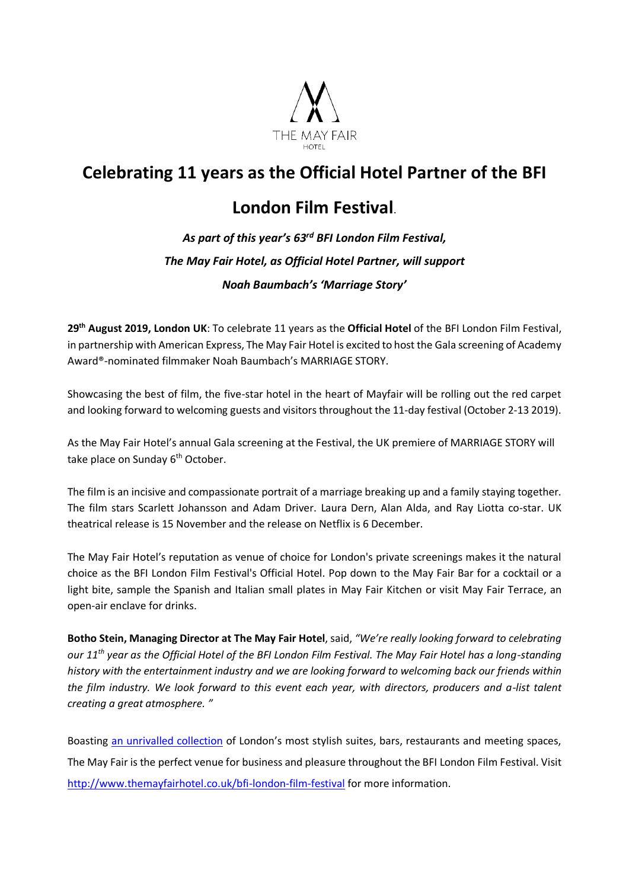

# **Celebrating 11 years as the Official Hotel Partner of the BFI**

## **London Film Festival**.

# *As part of this year's 63rd BFI London Film Festival, The May Fair Hotel, as Official Hotel Partner, will support Noah Baumbach's 'Marriage Story'*

**29th August 2019, London UK**: To celebrate 11 years as the **Official Hotel** of the BFI London Film Festival, in partnership with American Express, The May Fair Hotel is excited to host the Gala screening of Academy Award®-nominated filmmaker Noah Baumbach's MARRIAGE STORY.

Showcasing the best of film, the five-star hotel in the heart of Mayfair will be rolling out the red carpet and looking forward to welcoming guests and visitors throughout the 11-day festival (October 2-13 2019).

As the May Fair Hotel's annual Gala screening at the Festival, the UK premiere of MARRIAGE STORY will take place on Sunday 6<sup>th</sup> October.

The film is an incisive and compassionate portrait of a marriage breaking up and a family staying together. The film stars Scarlett Johansson and Adam Driver. Laura Dern, Alan Alda, and Ray Liotta co-star. UK theatrical release is 15 November and the release on Netflix is 6 December.

The May Fair Hotel's reputation as venue of choice for London's private screenings makes it the natural choice as the BFI London Film Festival's Official Hotel. Pop down to the May Fair Bar for a cocktail or a light bite, sample the Spanish and Italian small plates in May Fair Kitchen or visit May Fair Terrace, an open-air enclave for drinks.

**Botho Stein, Managing Director at The May Fair Hotel**, said, *"We're really looking forward to celebrating our 11 th year as the Official Hotel of the BFI London Film Festival. The May Fair Hotel has a long-standing history with the entertainment industry and we are looking forward to welcoming back our friends within the film industry. We look forward to this event each year, with directors, producers and a-list talent creating a great atmosphere. "*

Boasting [an unrivalled collection](http://www.themayfairsuites.com/) of London's most stylish suites, bars, restaurants and meeting spaces, The May Fair is the perfect venue for business and pleasure throughout the BFI London Film Festival. Visit <http://www.themayfairhotel.co.uk/bfi-london-film-festival> for more information.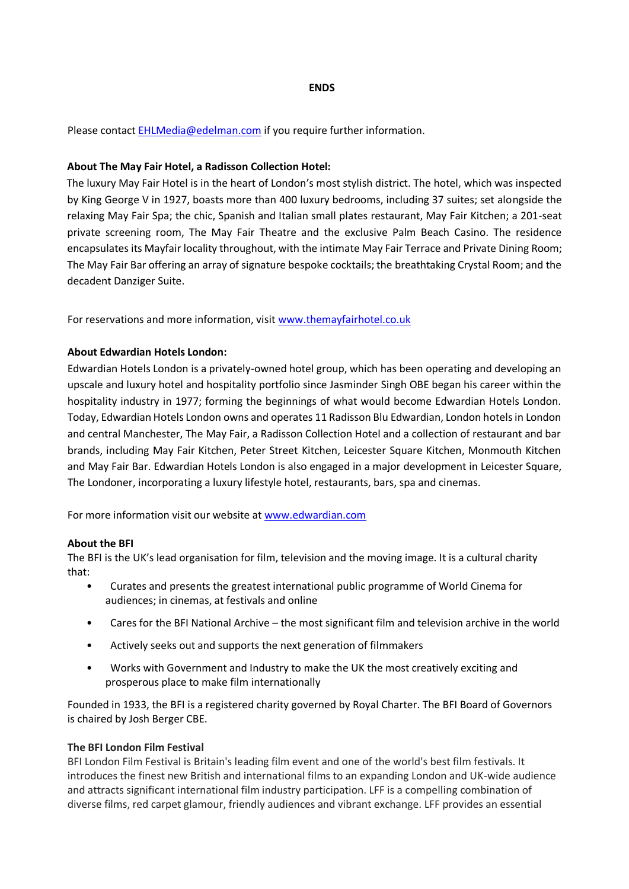#### **ENDS**

Please contact **EHLMedia@edelman.com** if you require further information.

#### **About The May Fair Hotel, a Radisson Collection Hotel:**

The luxury May Fair Hotel is in the heart of London's most stylish district. The hotel, which was inspected by King George V in 1927, boasts more than 400 luxury bedrooms, including 37 suites; set alongside the relaxing May Fair Spa; the chic, Spanish and Italian small plates restaurant, May Fair Kitchen; a 201-seat private screening room, The May Fair Theatre and the exclusive Palm Beach Casino. The residence encapsulates its Mayfair locality throughout, with the intimate May Fair Terrace and Private Dining Room; The May Fair Bar offering an array of signature bespoke cocktails; the breathtaking Crystal Room; and the decadent Danziger Suite.

For reservations and more information, visit www.themayfairhotel.co.uk

### **About Edwardian Hotels London:**

Edwardian Hotels London is a privately-owned hotel group, which has been operating and developing an upscale and luxury hotel and hospitality portfolio since Jasminder Singh OBE began his career within the hospitality industry in 1977; forming the beginnings of what would become Edwardian Hotels London. Today, Edwardian Hotels London owns and operates 11 Radisson Blu Edwardian, London hotels in London and central Manchester, The May Fair, a Radisson Collection Hotel and a collection of restaurant and bar brands, including May Fair Kitchen, Peter Street Kitchen, Leicester Square Kitchen, Monmouth Kitchen and May Fair Bar. Edwardian Hotels London is also engaged in a major development in Leicester Square, The Londoner, incorporating a luxury lifestyle hotel, restaurants, bars, spa and cinemas.

For more information visit our website at [www.edwardian.com](https://nam05.safelinks.protection.outlook.com/?url=http%3A%2F%2Fwww.edwardian.com&data=02%7C01%7Cfrederica.saunders%40edelman.com%7C896d260e6398433feeca08d6e8cf40e2%7Cb824bfb3918e43c2bb1cdcc1ba40a82b%7C0%7C0%7C636952374188263680&sdata=bJAritfZ11RYl9mpK30fJhs7hM3ywPBwJFhxmIsk80Y%3D&reserved=0)

#### **About the BFI**

The BFI is the UK's lead organisation for film, television and the moving image. It is a cultural charity that:

- Curates and presents the greatest international public programme of World Cinema for audiences; in cinemas, at festivals and online
- Cares for the BFI National Archive the most significant film and television archive in the world
- Actively seeks out and supports the next generation of filmmakers
- Works with Government and Industry to make the UK the most creatively exciting and prosperous place to make film internationally

Founded in 1933, the BFI is a registered charity governed by Royal Charter. The BFI Board of Governors is chaired by Josh Berger CBE.

#### **The BFI London Film Festival**

BFI London Film Festival is Britain's leading film event and one of the world's best film festivals. It introduces the finest new British and international films to an expanding London and UK-wide audience and attracts significant international film industry participation. LFF is a compelling combination of diverse films, red carpet glamour, friendly audiences and vibrant exchange. LFF provides an essential